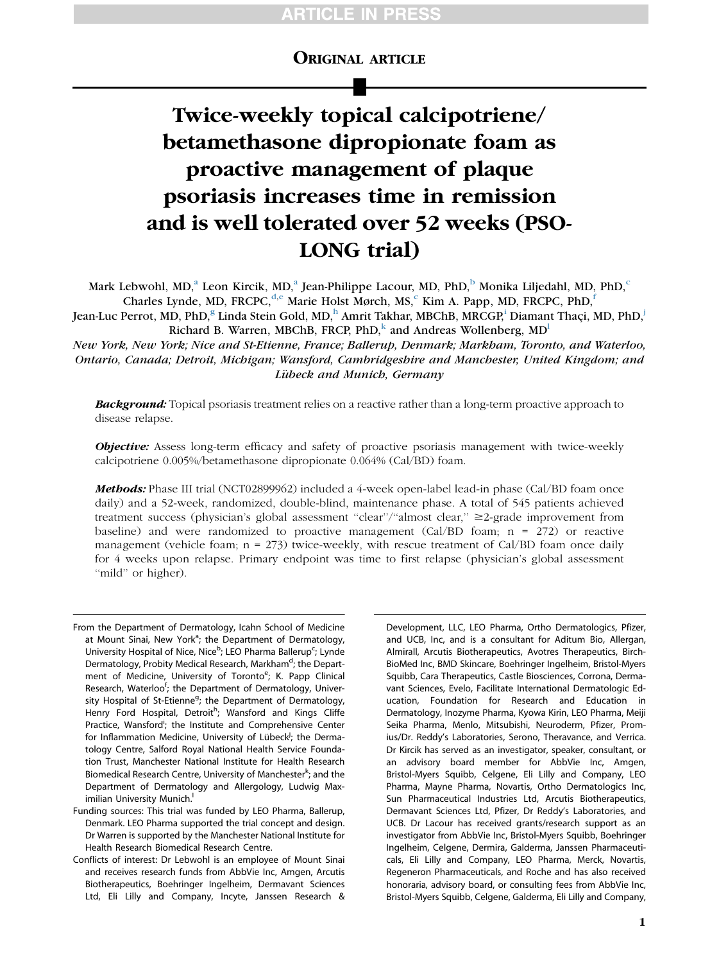# ORIGINAL ARTICLE

# Twice-weekly topical calcipotriene/ betamethasone dipropionate foam as proactive management of plaque psoriasis increases time in remission and is well tolerated over 52 weeks (PSO-LONG trial)

M[a](#page-0-0)rk Le[b](#page-0-1)wohl, MD,<sup>a</sup> Leon Kir[c](#page-0-1)ik, MD,<sup>a</sup> Jean-Philippe Lacour, MD, PhD,<sup>b</sup> Monika Liljedahl, MD, PhD,<sup>c</sup> Charles Lynde, MD, FRCPC,<sup>[d,](#page-0-2)[e](#page-0-3)</sup> Marie Holst Mør[c](#page-0-1)h, MS,<sup>c</sup> Kim A. Papp, MD, FRCPC, PhD,<sup>[f](#page-0-4)</sup>

Jean-Luc Perrot, MD, PhD,<sup>[g](#page-0-5)</sup> Linda Stein Gold, MD,<sup>[h](#page-0-6)</sup> Amr[i](#page-0-7)t Takhar, MBChB, MRCGP,<sup>i</sup> Diamant Thaçi, MD, PhD,<sup>[j](#page-0-8)</sup> Richard B. Warren, MBChB, FRCP,  $PhD<sub>k</sub><sup>k</sup>$  $PhD<sub>k</sub><sup>k</sup>$  $PhD<sub>k</sub><sup>k</sup>$  and Andreas Wo[l](#page-0-10)lenberg,  $MD<sup>l</sup>$ 

New York, New York; Nice and St-Etienne, France; Ballerup, Denmark; Markham, Toronto, and Waterloo, Ontario, Canada; Detroit, Michigan; Wansford, Cambridgeshire and Manchester, United Kingdom; and Lübeck and Munich, Germany

**Background:** Topical psoriasis treatment relies on a reactive rather than a long-term proactive approach to disease relapse.

**Objective:** Assess long-term efficacy and safety of proactive psoriasis management with twice-weekly calcipotriene 0.005%/betamethasone dipropionate 0.064% (Cal/BD) foam.

Methods: Phase III trial (NCT02899962) included a 4-week open-label lead-in phase (Cal/BD foam once daily) and a 52-week, randomized, double-blind, maintenance phase. A total of 545 patients achieved treatment success (physician's global assessment "clear"/"almost clear," ≥2-grade improvement from baseline) and were randomized to proactive management (Cal/BD foam; n = 272) or reactive management (vehicle foam;  $n = 273$ ) twice-weekly, with rescue treatment of Cal/BD foam once daily for 4 weeks upon relapse. Primary endpoint was time to first relapse (physician's global assessment "mild" or higher).

<span id="page-0-6"></span><span id="page-0-5"></span><span id="page-0-4"></span><span id="page-0-3"></span><span id="page-0-2"></span><span id="page-0-1"></span><span id="page-0-0"></span>From the Department of Dermatology, Icahn School of Medicine at Mount Sinai, New York<sup>a</sup>; the Department of Dermatology, University Hospital of Nice, Nice<sup>b</sup>; LEO Pharma Ballerup<sup>c</sup>; Lynde Dermatology, Probity Medical Research, Markham<sup>d</sup>; the Department of Medicine, University of Toronto<sup>e</sup>; K. Papp Clinical Research, Waterloo<sup>f</sup>; the Department of Dermatology, University Hospital of St-Etienne<sup>g</sup>; the Department of Dermatology, Henry Ford Hospital, Detroit<sup>h</sup>; Wansford and Kings Cliffe Practice, Wansford<sup>i</sup>; the Institute and Comprehensive Center for Inflammation Medicine, University of Lübeck<sup>j</sup>; the Dermatology Centre, Salford Royal National Health Service Foundation Trust, Manchester National Institute for Health Research Biomedical Research Centre, University of Manchester<sup>k</sup>; and the Department of Dermatology and Allergology, Ludwig Maximilian University Munich.

Development, LLC, LEO Pharma, Ortho Dermatologics, Pfizer, and UCB, Inc, and is a consultant for Aditum Bio, Allergan, Almirall, Arcutis Biotherapeutics, Avotres Therapeutics, Birch-BioMed Inc, BMD Skincare, Boehringer Ingelheim, Bristol-Myers Squibb, Cara Therapeutics, Castle Biosciences, Corrona, Dermavant Sciences, Evelo, Facilitate International Dermatologic Education, Foundation for Research and Education in Dermatology, Inozyme Pharma, Kyowa Kirin, LEO Pharma, Meiji Seika Pharma, Menlo, Mitsubishi, Neuroderm, Pfizer, Promius/Dr. Reddy's Laboratories, Serono, Theravance, and Verrica. Dr Kircik has served as an investigator, speaker, consultant, or an advisory board member for AbbVie Inc, Amgen, Bristol-Myers Squibb, Celgene, Eli Lilly and Company, LEO Pharma, Mayne Pharma, Novartis, Ortho Dermatologics Inc, Sun Pharmaceutical Industries Ltd, Arcutis Biotherapeutics, Dermavant Sciences Ltd, Pfizer, Dr Reddy's Laboratories, and UCB. Dr Lacour has received grants/research support as an investigator from AbbVie Inc, Bristol-Myers Squibb, Boehringer Ingelheim, Celgene, Dermira, Galderma, Janssen Pharmaceuticals, Eli Lilly and Company, LEO Pharma, Merck, Novartis, Regeneron Pharmaceuticals, and Roche and has also received honoraria, advisory board, or consulting fees from AbbVie Inc, Bristol-Myers Squibb, Celgene, Galderma, Eli Lilly and Company,

<span id="page-0-10"></span><span id="page-0-9"></span><span id="page-0-8"></span><span id="page-0-7"></span>Funding sources: This trial was funded by LEO Pharma, Ballerup, Denmark. LEO Pharma supported the trial concept and design. Dr Warren is supported by the Manchester National Institute for Health Research Biomedical Research Centre.

Conflicts of interest: Dr Lebwohl is an employee of Mount Sinai and receives research funds from AbbVie Inc, Amgen, Arcutis Biotherapeutics, Boehringer Ingelheim, Dermavant Sciences Ltd, Eli Lilly and Company, Incyte, Janssen Research &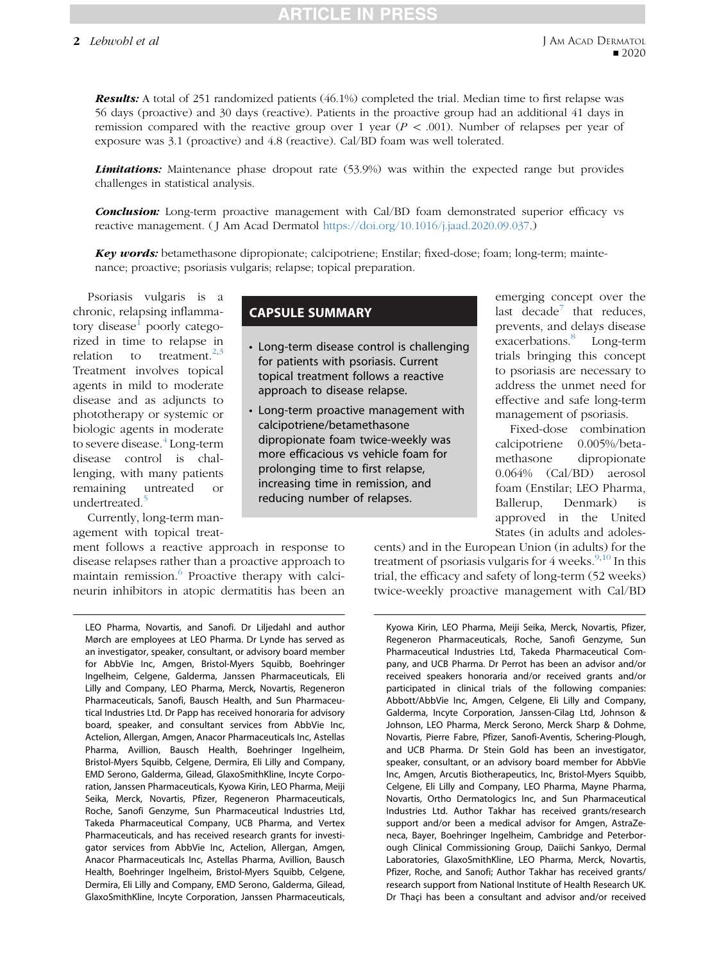## 2 Lebwohl et al

Results: A total of 251 randomized patients (46.1%) completed the trial. Median time to first relapse was 56 days (proactive) and 30 days (reactive). Patients in the proactive group had an additional 41 days in remission compared with the reactive group over 1 year ( $P < .001$ ). Number of relapses per year of exposure was 3.1 (proactive) and 4.8 (reactive). Cal/BD foam was well tolerated.

**Limitations:** Maintenance phase dropout rate (53.9%) was within the expected range but provides challenges in statistical analysis.

**Conclusion:** Long-term proactive management with Cal/BD foam demonstrated superior efficacy vs reactive management. ( J Am Acad Dermatol [https://doi.org/10.1016/j.jaad.2020.09.037.](https://doi.org/10.1016/j.jaad.2020.09.037))

Key words: betamethasone dipropionate; calcipotriene; Enstilar; fixed-dose; foam; long-term; maintenance; proactive; psoriasis vulgaris; relapse; topical preparation.

Psoriasis vulgaris is a chronic, relapsing inflamma-tory disease<sup>[1](#page-8-0)</sup> poorly categorized in time to relapse in relation to treatment.<sup>[2](#page-8-1)[,3](#page-8-2)</sup> Treatment involves topical agents in mild to moderate disease and as adjuncts to phototherapy or systemic or biologic agents in moderate to severe disease.<sup>[4](#page-8-3)</sup> Long-term disease control is challenging, with many patients remaining untreated or undertreated.<sup>[5](#page-8-4)</sup>

Currently, long-term management with topical treat-

ment follows a reactive approach in response to disease relapses rather than a proactive approach to maintain remission. $\delta$  Proactive therapy with calcineurin inhibitors in atopic dermatitis has been an

LEO Pharma, Novartis, and Sanofi. Dr Liljedahl and author Mørch are employees at LEO Pharma. Dr Lynde has served as an investigator, speaker, consultant, or advisory board member for AbbVie Inc, Amgen, Bristol-Myers Squibb, Boehringer Ingelheim, Celgene, Galderma, Janssen Pharmaceuticals, Eli Lilly and Company, LEO Pharma, Merck, Novartis, Regeneron Pharmaceuticals, Sanofi, Bausch Health, and Sun Pharmaceutical Industries Ltd. Dr Papp has received honoraria for advisory board, speaker, and consultant services from AbbVie Inc, Actelion, Allergan, Amgen, Anacor Pharmaceuticals Inc, Astellas Pharma, Avillion, Bausch Health, Boehringer Ingelheim, Bristol-Myers Squibb, Celgene, Dermira, Eli Lilly and Company, EMD Serono, Galderma, Gilead, GlaxoSmithKline, Incyte Corporation, Janssen Pharmaceuticals, Kyowa Kirin, LEO Pharma, Meiji Seika, Merck, Novartis, Pfizer, Regeneron Pharmaceuticals, Roche, Sanofi Genzyme, Sun Pharmaceutical Industries Ltd, Takeda Pharmaceutical Company, UCB Pharma, and Vertex Pharmaceuticals, and has received research grants for investigator services from AbbVie Inc, Actelion, Allergan, Amgen, Anacor Pharmaceuticals Inc, Astellas Pharma, Avillion, Bausch Health, Boehringer Ingelheim, Bristol-Myers Squibb, Celgene, Dermira, Eli Lilly and Company, EMD Serono, Galderma, Gilead, GlaxoSmithKline, Incyte Corporation, Janssen Pharmaceuticals,

# CAPSULE SUMMARY

- Long-term disease control is challenging for patients with psoriasis. Current topical treatment follows a reactive approach to disease relapse.
- Long-term proactive management with calcipotriene/betamethasone dipropionate foam twice-weekly was more efficacious vs vehicle foam for prolonging time to first relapse, increasing time in remission, and reducing number of relapses.

emerging concept over the last decade<sup>[7](#page-8-6)</sup> that reduces, prevents, and delays disease exacerbations.<sup>[8](#page-8-7)</sup> Long-term trials bringing this concept to psoriasis are necessary to address the unmet need for effective and safe long-term management of psoriasis.

Fixed-dose combination calcipotriene 0.005%/betamethasone dipropionate 0.064% (Cal/BD) aerosol foam (Enstilar; LEO Pharma, Ballerup, Denmark) is approved in the United States (in adults and adoles-

cents) and in the European Union (in adults) for the treatment of psoriasis vulgaris for  $4$  weeks.<sup>9,[10](#page-8-9)</sup> In this trial, the efficacy and safety of long-term (52 weeks) twice-weekly proactive management with Cal/BD

Kyowa Kirin, LEO Pharma, Meiji Seika, Merck, Novartis, Pfizer, Regeneron Pharmaceuticals, Roche, Sanofi Genzyme, Sun Pharmaceutical Industries Ltd, Takeda Pharmaceutical Company, and UCB Pharma. Dr Perrot has been an advisor and/or received speakers honoraria and/or received grants and/or participated in clinical trials of the following companies: Abbott/AbbVie Inc, Amgen, Celgene, Eli Lilly and Company, Galderma, Incyte Corporation, Janssen-Cilag Ltd, Johnson & Johnson, LEO Pharma, Merck Serono, Merck Sharp & Dohme, Novartis, Pierre Fabre, Pfizer, Sanofi-Aventis, Schering-Plough, and UCB Pharma. Dr Stein Gold has been an investigator, speaker, consultant, or an advisory board member for AbbVie Inc, Amgen, Arcutis Biotherapeutics, Inc, Bristol-Myers Squibb, Celgene, Eli Lilly and Company, LEO Pharma, Mayne Pharma, Novartis, Ortho Dermatologics Inc, and Sun Pharmaceutical Industries Ltd. Author Takhar has received grants/research support and/or been a medical advisor for Amgen, AstraZeneca, Bayer, Boehringer Ingelheim, Cambridge and Peterborough Clinical Commissioning Group, Daiichi Sankyo, Dermal Laboratories, GlaxoSmithKline, LEO Pharma, Merck, Novartis, Pfizer, Roche, and Sanofi; Author Takhar has received grants/ research support from National Institute of Health Research UK. Dr Thaçi has been a consultant and advisor and/or received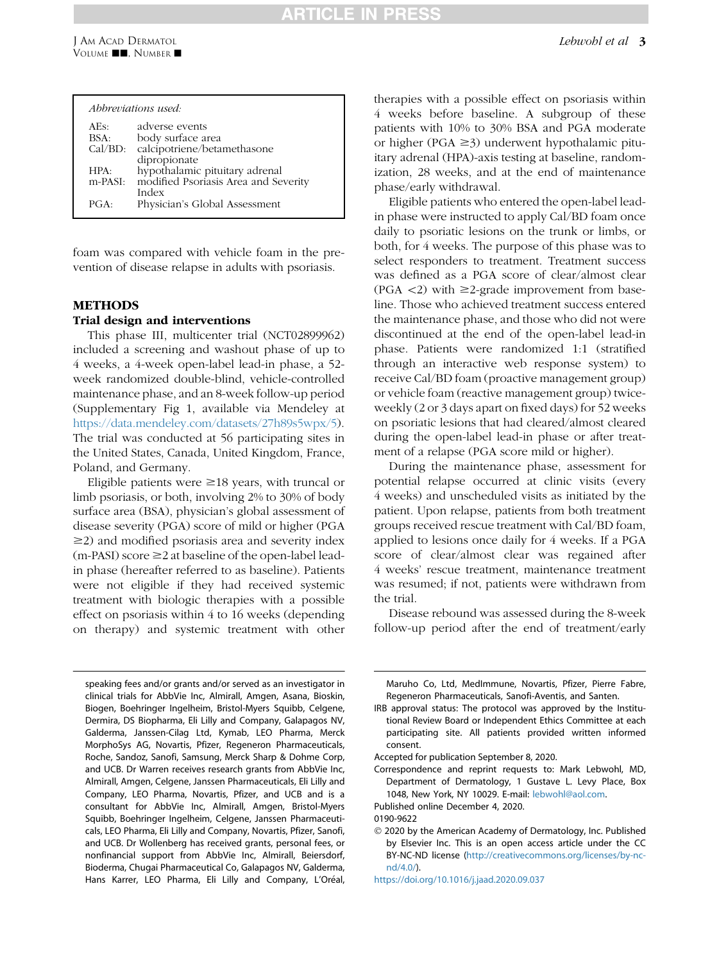# TICLET

|           | Abbreviations used:                  |
|-----------|--------------------------------------|
| AEs:      | adverse events                       |
| BSA:      | body surface area                    |
| Cal/BD:   | calcipotriene/betamethasone          |
|           | dipropionate                         |
| HPA:      | hypothalamic pituitary adrenal       |
| $m-PASI:$ | modified Psoriasis Area and Severity |
|           | Index                                |
| PGA.      | Physician's Global Assessment        |
|           |                                      |

foam was compared with vehicle foam in the prevention of disease relapse in adults with psoriasis.

## METHODS

## Trial design and interventions

This phase III, multicenter trial (NCT02899962) included a screening and washout phase of up to 4 weeks, a 4-week open-label lead-in phase, a 52 week randomized double-blind, vehicle-controlled maintenance phase, and an 8-week follow-up period (Supplementary Fig 1, available via Mendeley at <https://data.mendeley.com/datasets/27h89s5wpx/5>). The trial was conducted at 56 participating sites in the United States, Canada, United Kingdom, France, Poland, and Germany.

Eligible patients were  $\geq$ 18 years, with truncal or limb psoriasis, or both, involving 2% to 30% of body surface area (BSA), physician's global assessment of disease severity (PGA) score of mild or higher (PGA  $\geq$ 2) and modified psoriasis area and severity index  $(m-PASI)$  score  $\geq$  2 at baseline of the open-label leadin phase (hereafter referred to as baseline). Patients were not eligible if they had received systemic treatment with biologic therapies with a possible effect on psoriasis within 4 to 16 weeks (depending on therapy) and systemic treatment with other

speaking fees and/or grants and/or served as an investigator in clinical trials for AbbVie Inc, Almirall, Amgen, Asana, Bioskin, Biogen, Boehringer Ingelheim, Bristol-Myers Squibb, Celgene, Dermira, DS Biopharma, Eli Lilly and Company, Galapagos NV, Galderma, Janssen-Cilag Ltd, Kymab, LEO Pharma, Merck MorphoSys AG, Novartis, Pfizer, Regeneron Pharmaceuticals, Roche, Sandoz, Sanofi, Samsung, Merck Sharp & Dohme Corp, and UCB. Dr Warren receives research grants from AbbVie Inc, Almirall, Amgen, Celgene, Janssen Pharmaceuticals, Eli Lilly and Company, LEO Pharma, Novartis, Pfizer, and UCB and is a consultant for AbbVie Inc, Almirall, Amgen, Bristol-Myers Squibb, Boehringer Ingelheim, Celgene, Janssen Pharmaceuticals, LEO Pharma, Eli Lilly and Company, Novartis, Pfizer, Sanofi, and UCB. Dr Wollenberg has received grants, personal fees, or nonfinancial support from AbbVie Inc, Almirall, Beiersdorf, Bioderma, Chugai Pharmaceutical Co, Galapagos NV, Galderma, Hans Karrer, LEO Pharma, Eli Lilly and Company, L'Oréal,

therapies with a possible effect on psoriasis within 4 weeks before baseline. A subgroup of these patients with 10% to 30% BSA and PGA moderate or higher (PGA  $\geq$ 3) underwent hypothalamic pituitary adrenal (HPA)-axis testing at baseline, randomization, 28 weeks, and at the end of maintenance phase/early withdrawal.

Eligible patients who entered the open-label leadin phase were instructed to apply Cal/BD foam once daily to psoriatic lesions on the trunk or limbs, or both, for 4 weeks. The purpose of this phase was to select responders to treatment. Treatment success was defined as a PGA score of clear/almost clear (PGA  $\langle$ 2) with  $\geq$ 2-grade improvement from baseline. Those who achieved treatment success entered the maintenance phase, and those who did not were discontinued at the end of the open-label lead-in phase. Patients were randomized 1:1 (stratified through an interactive web response system) to receive Cal/BD foam (proactive management group) or vehicle foam (reactive management group) twiceweekly (2 or 3 days apart on fixed days) for 52 weeks on psoriatic lesions that had cleared/almost cleared during the open-label lead-in phase or after treatment of a relapse (PGA score mild or higher).

During the maintenance phase, assessment for potential relapse occurred at clinic visits (every 4 weeks) and unscheduled visits as initiated by the patient. Upon relapse, patients from both treatment groups received rescue treatment with Cal/BD foam, applied to lesions once daily for 4 weeks. If a PGA score of clear/almost clear was regained after 4 weeks' rescue treatment, maintenance treatment was resumed; if not, patients were withdrawn from the trial.

Disease rebound was assessed during the 8-week follow-up period after the end of treatment/early

 2020 by the American Academy of Dermatology, Inc. Published by Elsevier Inc. This is an open access article under the CC BY-NC-ND license ([http://creativecommons.org/licenses/by-nc](http://creativecommons.org/licenses/by-nc-nd/4.0/) $nd/4.0<sub>0</sub>$ .

Maruho Co, Ltd, MedImmune, Novartis, Pfizer, Pierre Fabre, Regeneron Pharmaceuticals, Sanofi-Aventis, and Santen.

IRB approval status: The protocol was approved by the Institutional Review Board or Independent Ethics Committee at each participating site. All patients provided written informed consent.

Accepted for publication September 8, 2020.

Correspondence and reprint requests to: Mark Lebwohl, MD, Department of Dermatology, 1 Gustave L. Levy Place, Box 1048, New York, NY 10029. E-mail: [lebwohl@aol.com](mailto:lebwohl@aol.com).

Published online December 4, 2020.

<sup>0190-9622</sup>

<https://doi.org/10.1016/j.jaad.2020.09.037>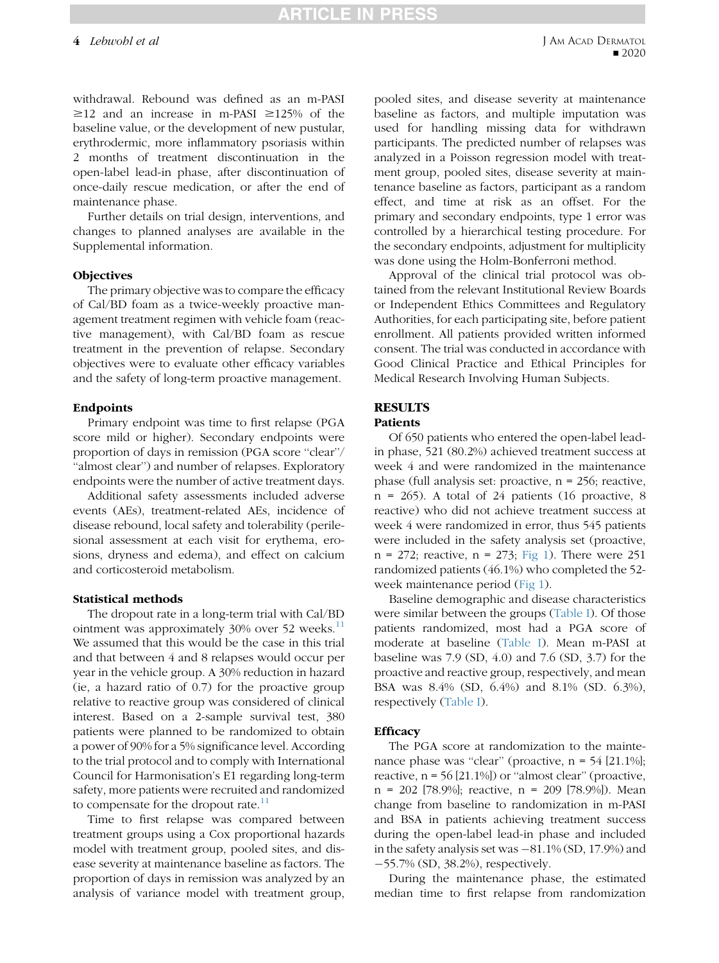withdrawal. Rebound was defined as an m-PASI  $\geq$ 12 and an increase in m-PASI  $\geq$ 125% of the baseline value, or the development of new pustular, erythrodermic, more inflammatory psoriasis within 2 months of treatment discontinuation in the open-label lead-in phase, after discontinuation of once-daily rescue medication, or after the end of maintenance phase.

Further details on trial design, interventions, and changes to planned analyses are available in the Supplemental information.

#### **Objectives**

The primary objective was to compare the efficacy of Cal/BD foam as a twice-weekly proactive management treatment regimen with vehicle foam (reactive management), with Cal/BD foam as rescue treatment in the prevention of relapse. Secondary objectives were to evaluate other efficacy variables and the safety of long-term proactive management.

#### Endpoints

Primary endpoint was time to first relapse (PGA score mild or higher). Secondary endpoints were proportion of days in remission (PGA score ''clear''/ "almost clear") and number of relapses. Exploratory endpoints were the number of active treatment days.

Additional safety assessments included adverse events (AEs), treatment-related AEs, incidence of disease rebound, local safety and tolerability (perilesional assessment at each visit for erythema, erosions, dryness and edema), and effect on calcium and corticosteroid metabolism.

#### Statistical methods

The dropout rate in a long-term trial with Cal/BD ointment was approximately  $30\%$  over 52 weeks.<sup>[11](#page-8-10)</sup> We assumed that this would be the case in this trial and that between 4 and 8 relapses would occur per year in the vehicle group. A 30% reduction in hazard (ie, a hazard ratio of 0.7) for the proactive group relative to reactive group was considered of clinical interest. Based on a 2-sample survival test, 380 patients were planned to be randomized to obtain a power of 90% for a 5% significance level. According to the trial protocol and to comply with International Council for Harmonisation's E1 regarding long-term safety, more patients were recruited and randomized to compensate for the dropout rate. $11$ 

Time to first relapse was compared between treatment groups using a Cox proportional hazards model with treatment group, pooled sites, and disease severity at maintenance baseline as factors. The proportion of days in remission was analyzed by an analysis of variance model with treatment group,

pooled sites, and disease severity at maintenance baseline as factors, and multiple imputation was used for handling missing data for withdrawn participants. The predicted number of relapses was analyzed in a Poisson regression model with treatment group, pooled sites, disease severity at maintenance baseline as factors, participant as a random effect, and time at risk as an offset. For the primary and secondary endpoints, type 1 error was controlled by a hierarchical testing procedure. For the secondary endpoints, adjustment for multiplicity was done using the Holm-Bonferroni method.

Approval of the clinical trial protocol was obtained from the relevant Institutional Review Boards or Independent Ethics Committees and Regulatory Authorities, for each participating site, before patient enrollment. All patients provided written informed consent. The trial was conducted in accordance with Good Clinical Practice and Ethical Principles for Medical Research Involving Human Subjects.

## **RESULTS**

## **Patients**

Of 650 patients who entered the open-label leadin phase, 521 (80.2%) achieved treatment success at week 4 and were randomized in the maintenance phase (full analysis set: proactive, n = 256; reactive,  $n = 265$ ). A total of 24 patients (16 proactive, 8 reactive) who did not achieve treatment success at week 4 were randomized in error, thus 545 patients were included in the safety analysis set (proactive,  $n = 272$ ; reactive,  $n = 273$ ; [Fig 1\)](#page-4-0). There were 251 randomized patients (46.1%) who completed the 52 week maintenance period [\(Fig 1](#page-4-0)).

Baseline demographic and disease characteristics were similar between the groups ([Table I](#page-5-0)). Of those patients randomized, most had a PGA score of moderate at baseline [\(Table I\)](#page-5-0). Mean m-PASI at baseline was 7.9 (SD, 4.0) and 7.6 (SD, 3.7) for the proactive and reactive group, respectively, and mean BSA was 8.4% (SD, 6.4%) and 8.1% (SD. 6.3%), respectively ([Table I](#page-5-0)).

#### **Efficacy**

The PGA score at randomization to the maintenance phase was "clear" (proactive,  $n = 54$  [21.1%]; reactive,  $n = 56$  [21.1%]) or "almost clear" (proactive, n = 202 [78.9%]; reactive, n = 209 [78.9%]). Mean change from baseline to randomization in m-PASI and BSA in patients achieving treatment success during the open-label lead-in phase and included in the safety analysis set was  $-81.1\%$  (SD, 17.9%) and 55.7% (SD, 38.2%), respectively.

During the maintenance phase, the estimated median time to first relapse from randomization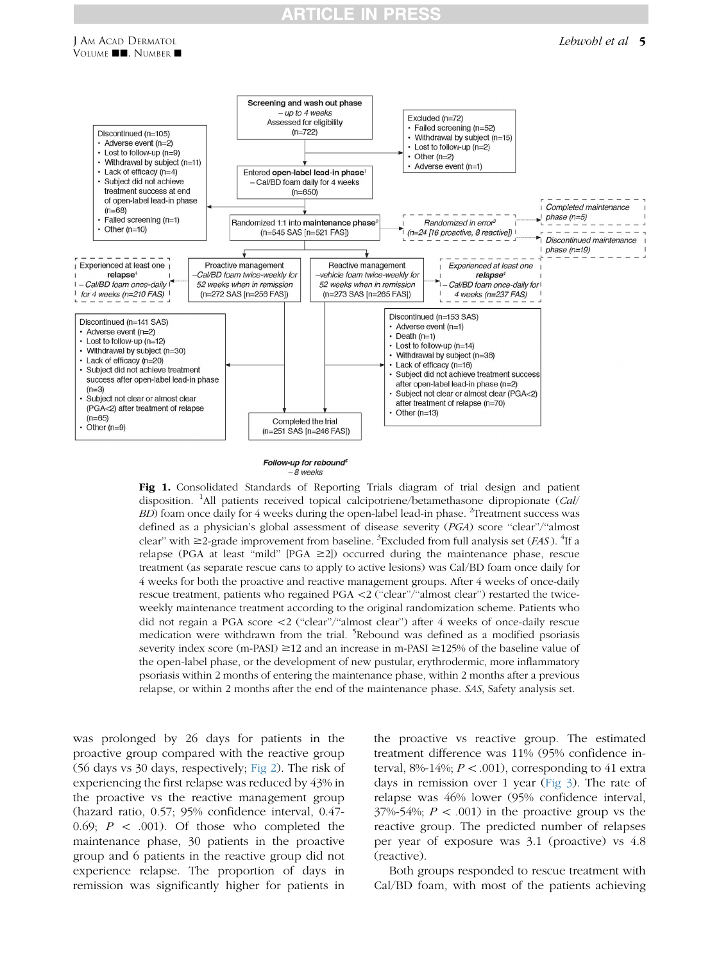# **TICLE IN**



<span id="page-4-0"></span>

Follow-up for rebound<sup>5</sup>  $-8$  weeks

Fig 1. Consolidated Standards of Reporting Trials diagram of trial design and patient disposition. <sup>1</sup>All patients received topical calcipotriene/betamethasone dipropionate (Cal/  $BD$ ) foam once daily for 4 weeks during the open-label lead-in phase. <sup>2</sup> Treatment success was defined as a physician's global assessment of disease severity (PGA) score "clear"/"almost clear" with  $\geq$ 2-grade improvement from baseline. <sup>3</sup> Excluded from full analysis set (*FAS*). <sup>4</sup> If a relapse (PGA at least "mild" [PGA  $\geq$ 2]) occurred during the maintenance phase, rescue treatment (as separate rescue cans to apply to active lesions) was Cal/BD foam once daily for 4 weeks for both the proactive and reactive management groups. After 4 weeks of once-daily rescue treatment, patients who regained PGA <2 ("clear"/"almost clear") restarted the twiceweekly maintenance treatment according to the original randomization scheme. Patients who did not regain a PGA score \2 (''clear''/''almost clear'') after 4 weeks of once-daily rescue medication were withdrawn from the trial. <sup>5</sup>Rebound was defined as a modified psoriasis severity index score (m-PASI)  $\geq$  12 and an increase in m-PASI  $\geq$  125% of the baseline value of the open-label phase, or the development of new pustular, erythrodermic, more inflammatory psoriasis within 2 months of entering the maintenance phase, within 2 months after a previous relapse, or within 2 months after the end of the maintenance phase. SAS, Safety analysis set.

was prolonged by 26 days for patients in the proactive group compared with the reactive group (56 days vs 30 days, respectively; [Fig 2](#page-6-0)). The risk of experiencing the first relapse was reduced by 43% in the proactive vs the reactive management group (hazard ratio, 0.57; 95% confidence interval, 0.47- 0.69;  $P \, \langle 0.01 \rangle$ . Of those who completed the maintenance phase, 30 patients in the proactive group and 6 patients in the reactive group did not experience relapse. The proportion of days in remission was significantly higher for patients in

J AM ACAD DERMATOL VOLUME **JE, NUMBER 1** 

> the proactive vs reactive group. The estimated treatment difference was 11% (95% confidence interval, 8%-14%;  $P < .001$ ), corresponding to 41 extra days in remission over 1 year ([Fig 3\)](#page-6-1). The rate of relapse was 46% lower (95% confidence interval,  $37\%$ -54%;  $P < .001$ ) in the proactive group vs the reactive group. The predicted number of relapses per year of exposure was 3.1 (proactive) vs 4.8 (reactive).

> Both groups responded to rescue treatment with Cal/BD foam, with most of the patients achieving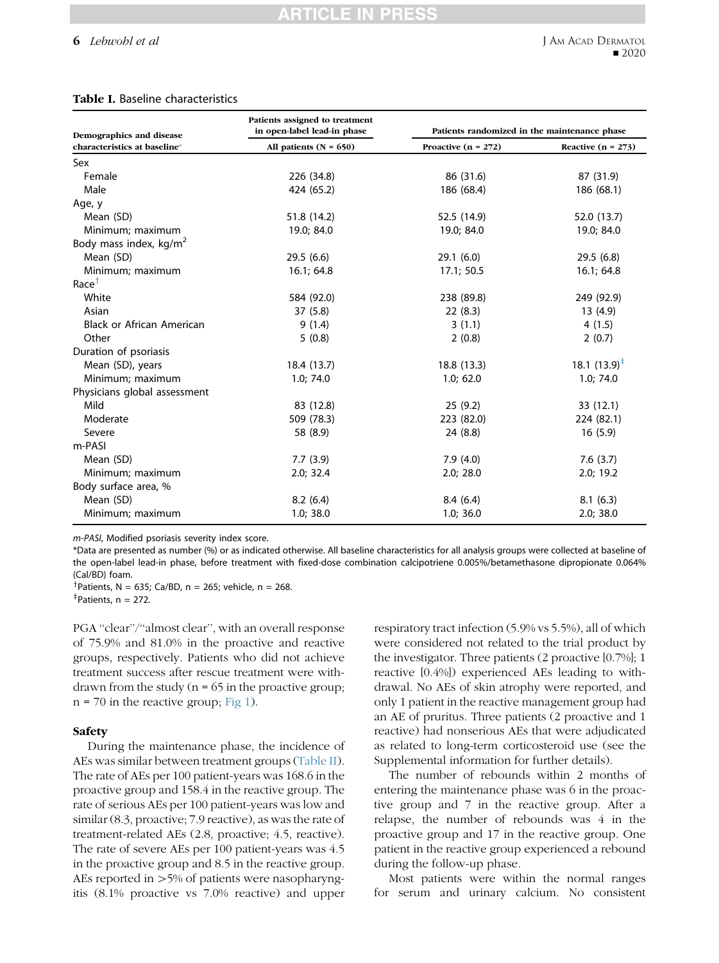#### 6 Lebwohl et al

#### <span id="page-5-0"></span>Table I. Baseline characteristics

| Demographics and disease         | Patients assigned to treatment<br>in open-label lead-in phase | Patients randomized in the maintenance phase |                          |  |  |  |
|----------------------------------|---------------------------------------------------------------|----------------------------------------------|--------------------------|--|--|--|
| characteristics at baseline*     | All patients $(N = 650)$                                      | Proactive $(n = 272)$                        | Reactive $(n = 273)$     |  |  |  |
| Sex                              |                                                               |                                              |                          |  |  |  |
| Female                           | 226 (34.8)                                                    | 86 (31.6)                                    | 87 (31.9)                |  |  |  |
| Male                             | 424 (65.2)                                                    | 186 (68.4)                                   | 186 (68.1)               |  |  |  |
| Age, y                           |                                                               |                                              |                          |  |  |  |
| Mean (SD)                        | 51.8 (14.2)                                                   | 52.5 (14.9)                                  | 52.0 (13.7)              |  |  |  |
| Minimum; maximum                 | 19.0; 84.0                                                    | 19.0; 84.0                                   | 19.0; 84.0               |  |  |  |
| Body mass index, $kg/m2$         |                                                               |                                              |                          |  |  |  |
| Mean (SD)                        | 29.5(6.6)                                                     | 29.1(6.0)                                    | 29.5(6.8)                |  |  |  |
| Minimum; maximum                 | 16.1; 64.8                                                    | 17.1; 50.5                                   | 16.1; 64.8               |  |  |  |
| Race <sup>+</sup>                |                                                               |                                              |                          |  |  |  |
| White                            | 584 (92.0)                                                    | 238 (89.8)                                   | 249 (92.9)               |  |  |  |
| Asian                            | 37(5.8)                                                       | 22(8.3)                                      | 13 (4.9)                 |  |  |  |
| <b>Black or African American</b> | 9(1.4)                                                        | 3(1.1)                                       | 4(1.5)                   |  |  |  |
| Other                            | 5(0.8)                                                        | 2(0.8)                                       | 2(0.7)                   |  |  |  |
| Duration of psoriasis            |                                                               |                                              |                          |  |  |  |
| Mean (SD), years                 | 18.4 (13.7)                                                   | 18.8 (13.3)                                  | 18.1 $(13.9)^{\ddagger}$ |  |  |  |
| Minimum; maximum                 | 1.0; 74.0                                                     | 1.0; 62.0                                    | 1.0; 74.0                |  |  |  |
| Physicians global assessment     |                                                               |                                              |                          |  |  |  |
| Mild                             | 83 (12.8)                                                     | 25(9.2)                                      | 33 (12.1)                |  |  |  |
| Moderate                         | 509 (78.3)                                                    | 223 (82.0)                                   | 224 (82.1)               |  |  |  |
| Severe                           | 58 (8.9)                                                      | 24 (8.8)                                     | 16(5.9)                  |  |  |  |
| m-PASI                           |                                                               |                                              |                          |  |  |  |
| Mean (SD)                        | 7.7(3.9)                                                      | 7.9(4.0)                                     | 7.6(3.7)                 |  |  |  |
| Minimum; maximum                 | 2.0; 32.4                                                     | 2.0; 28.0                                    | 2.0; 19.2                |  |  |  |
| Body surface area, %             |                                                               |                                              |                          |  |  |  |
| Mean (SD)                        | 8.2(6.4)                                                      | 8.4(6.4)                                     | 8.1(6.3)                 |  |  |  |
| Minimum; maximum                 | 1.0; 38.0                                                     | 1.0; 36.0                                    | 2.0; 38.0                |  |  |  |

m-PASI, Modified psoriasis severity index score.

\*Data are presented as number (%) or as indicated otherwise. All baseline characteristics for all analysis groups were collected at baseline of the open-label lead-in phase, before treatment with fixed-dose combination calcipotriene 0.005%/betamethasone dipropionate 0.064% (Cal/BD) foam.

<sup>†</sup>Patients, N = 635; Ca/BD, n = 265; vehicle, n = 268.

 $p+P$ atients, n = 272.

PGA "clear"/"almost clear", with an overall response of 75.9% and 81.0% in the proactive and reactive groups, respectively. Patients who did not achieve treatment success after rescue treatment were withdrawn from the study ( $n = 65$  in the proactive group;  $n = 70$  in the reactive group; [Fig 1\)](#page-4-0).

#### Safety

During the maintenance phase, the incidence of AEs was similar between treatment groups [\(Table II](#page-7-0)). The rate of AEs per 100 patient-years was 168.6 in the proactive group and 158.4 in the reactive group. The rate of serious AEs per 100 patient-years was low and similar (8.3, proactive; 7.9 reactive), as was the rate of treatment-related AEs (2.8, proactive; 4.5, reactive). The rate of severe AEs per 100 patient-years was 4.5 in the proactive group and 8.5 in the reactive group. AEs reported in  $>5\%$  of patients were nasopharyngitis (8.1% proactive vs 7.0% reactive) and upper

respiratory tract infection (5.9% vs 5.5%), all of which were considered not related to the trial product by the investigator. Three patients (2 proactive [0.7%]; 1 reactive [0.4%]) experienced AEs leading to withdrawal. No AEs of skin atrophy were reported, and only 1 patient in the reactive management group had an AE of pruritus. Three patients (2 proactive and 1 reactive) had nonserious AEs that were adjudicated as related to long-term corticosteroid use (see the Supplemental information for further details).

The number of rebounds within 2 months of entering the maintenance phase was 6 in the proactive group and 7 in the reactive group. After a relapse, the number of rebounds was 4 in the proactive group and 17 in the reactive group. One patient in the reactive group experienced a rebound during the follow-up phase.

Most patients were within the normal ranges for serum and urinary calcium. No consistent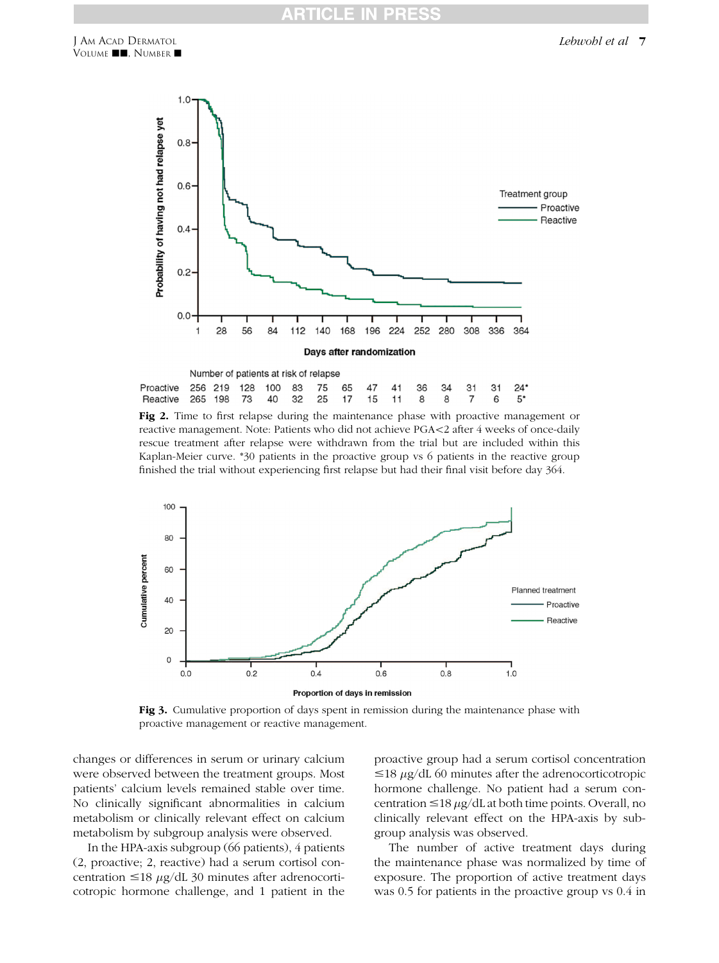<span id="page-6-0"></span>

|                                                          |  | Number of patients at risk of relapse |  |  |  |  |  |
|----------------------------------------------------------|--|---------------------------------------|--|--|--|--|--|
| Proactive 256 219 128 100 83 75 65 47 41 36 34 31 31 24* |  |                                       |  |  |  |  |  |
| Reactive 265 198 73 40 32 25 17 15 11 8 8 7 6 5*         |  |                                       |  |  |  |  |  |

Fig 2. Time to first relapse during the maintenance phase with proactive management or reactive management. Note: Patients who did not achieve PGA $\lt 2$  after 4 weeks of once-daily rescue treatment after relapse were withdrawn from the trial but are included within this Kaplan-Meier curve. \*30 patients in the proactive group vs 6 patients in the reactive group finished the trial without experiencing first relapse but had their final visit before day 364.

<span id="page-6-1"></span>

Fig 3. Cumulative proportion of days spent in remission during the maintenance phase with proactive management or reactive management.

changes or differences in serum or urinary calcium were observed between the treatment groups. Most patients' calcium levels remained stable over time. No clinically significant abnormalities in calcium metabolism or clinically relevant effect on calcium metabolism by subgroup analysis were observed.

In the HPA-axis subgroup (66 patients), 4 patients (2, proactive; 2, reactive) had a serum cortisol concentration  $\leq 18 \mu g/dL$  30 minutes after adrenocorticotropic hormone challenge, and 1 patient in the

proactive group had a serum cortisol concentration  $\leq$ 18  $\mu$ g/dL 60 minutes after the adrenocorticotropic hormone challenge. No patient had a serum concentration  $\leq 18 \mu g/dL$  at both time points. Overall, no clinically relevant effect on the HPA-axis by subgroup analysis was observed.

The number of active treatment days during the maintenance phase was normalized by time of exposure. The proportion of active treatment days was 0.5 for patients in the proactive group vs 0.4 in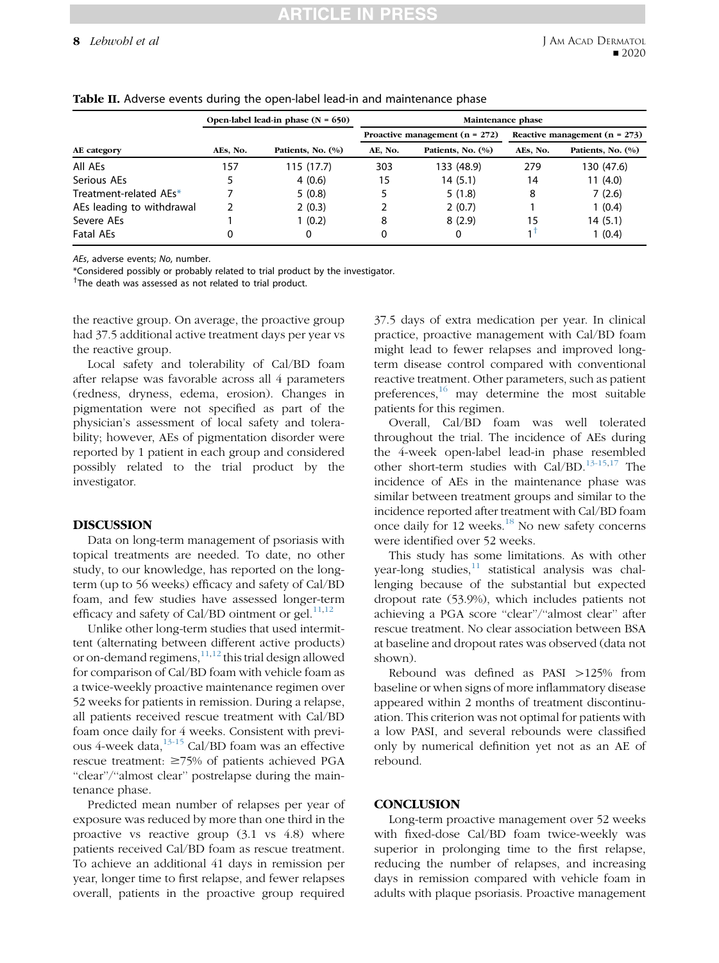#### 8 Lebwohl et al

|                           |          | Open-label lead-in phase $(N = 650)$ | Maintenance phase |                                  |                                 |                   |  |  |
|---------------------------|----------|--------------------------------------|-------------------|----------------------------------|---------------------------------|-------------------|--|--|
|                           |          |                                      |                   | Proactive management $(n = 272)$ | Reactive management $(n = 273)$ |                   |  |  |
| AE category               | AEs. No. | Patients, No. (%)                    | AE. No.           | Patients, No. (%)                | AEs. No.                        | Patients, No. (%) |  |  |
| All AEs                   | 157      | 115 (17.7)                           | 303               | 133 (48.9)                       | 279                             | 130 (47.6)        |  |  |
| Serious AEs               |          | 4(0.6)                               | 15                | 14(5.1)                          | 14                              | 11(4.0)           |  |  |
| Treatment-related AEs*    |          | 5(0.8)                               |                   | 5(1.8)                           | 8                               | 7(2.6)            |  |  |
| AEs leading to withdrawal |          | 2(0.3)                               |                   | 2(0.7)                           |                                 | 1(0.4)            |  |  |
| Severe AEs                |          | 1(0.2)                               | 8                 | 8(2.9)                           | 15                              | 14(5.1)           |  |  |
| <b>Fatal AEs</b>          | 0        | 0                                    | 0                 | 0                                |                                 | 1(0.4)            |  |  |

#### <span id="page-7-0"></span>Table II. Adverse events during the open-label lead-in and maintenance phase

AEs, adverse events; No, number.

\*Considered possibly or probably related to trial product by the investigator.

<sup>†</sup>The death was assessed as not related to trial product.

the reactive group. On average, the proactive group had 37.5 additional active treatment days per year vs the reactive group.

Local safety and tolerability of Cal/BD foam after relapse was favorable across all 4 parameters (redness, dryness, edema, erosion). Changes in pigmentation were not specified as part of the physician's assessment of local safety and tolerability; however, AEs of pigmentation disorder were reported by 1 patient in each group and considered possibly related to the trial product by the investigator.

#### DISCUSSION

Data on long-term management of psoriasis with topical treatments are needed. To date, no other study, to our knowledge, has reported on the longterm (up to 56 weeks) efficacy and safety of Cal/BD foam, and few studies have assessed longer-term efficacy and safety of Cal/BD ointment or gel. $^{11,12}$  $^{11,12}$  $^{11,12}$  $^{11,12}$  $^{11,12}$ 

Unlike other long-term studies that used intermittent (alternating between different active products) or on-demand regimens,  $11,12$  $11,12$  this trial design allowed for comparison of Cal/BD foam with vehicle foam as a twice-weekly proactive maintenance regimen over 52 weeks for patients in remission. During a relapse, all patients received rescue treatment with Cal/BD foam once daily for 4 weeks. Consistent with previous 4-week data, $13-15$  Cal/BD foam was an effective rescue treatment:  $\geq$ 75% of patients achieved PGA "clear"/"almost clear" postrelapse during the maintenance phase.

Predicted mean number of relapses per year of exposure was reduced by more than one third in the proactive vs reactive group (3.1 vs 4.8) where patients received Cal/BD foam as rescue treatment. To achieve an additional 41 days in remission per year, longer time to first relapse, and fewer relapses overall, patients in the proactive group required 37.5 days of extra medication per year. In clinical practice, proactive management with Cal/BD foam might lead to fewer relapses and improved longterm disease control compared with conventional reactive treatment. Other parameters, such as patient preferences, $^{16}$  $^{16}$  $^{16}$  may determine the most suitable patients for this regimen.

Overall, Cal/BD foam was well tolerated throughout the trial. The incidence of AEs during the 4-week open-label lead-in phase resembled other short-term studies with Cal/BD.[13-15,](#page-8-12)[17](#page-8-14) The incidence of AEs in the maintenance phase was similar between treatment groups and similar to the incidence reported after treatment with Cal/BD foam once daily for 12 weeks.[18](#page-8-15) No new safety concerns were identified over 52 weeks.

This study has some limitations. As with other year-long studies, $11$  statistical analysis was challenging because of the substantial but expected dropout rate (53.9%), which includes patients not achieving a PGA score ''clear''/''almost clear'' after rescue treatment. No clear association between BSA at baseline and dropout rates was observed (data not shown).

Rebound was defined as PASI  $>125%$  from baseline or when signs of more inflammatory disease appeared within 2 months of treatment discontinuation. This criterion was not optimal for patients with a low PASI, and several rebounds were classified only by numerical definition yet not as an AE of rebound.

## **CONCLUSION**

Long-term proactive management over 52 weeks with fixed-dose Cal/BD foam twice-weekly was superior in prolonging time to the first relapse, reducing the number of relapses, and increasing days in remission compared with vehicle foam in adults with plaque psoriasis. Proactive management